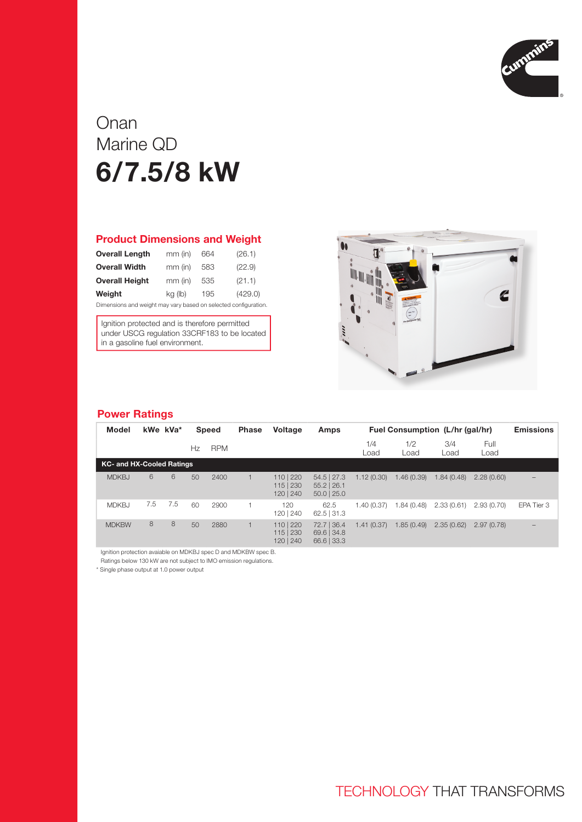

# Onan Marine QD 6/7.5/8 kW

#### Product Dimensions and Weight

| <b>Overall Length</b>                                           | $mm$ (in) | 664 | (26.1)  |  |  |  |  |  |
|-----------------------------------------------------------------|-----------|-----|---------|--|--|--|--|--|
| <b>Overall Width</b>                                            | $mm$ (in) | 583 | (22.9)  |  |  |  |  |  |
| <b>Overall Height</b>                                           | $mm$ (in) | 535 | (21.1)  |  |  |  |  |  |
| Weight                                                          | kg (lb)   | 195 | (429.0) |  |  |  |  |  |
| Dimensions and weight may vary based on selected configuration. |           |     |         |  |  |  |  |  |

Ignition protected and is therefore permitted under USCG regulation 33CRF183 to be located in a gasoline fuel environment.



### Power Ratings

| Model                            | kWe kVa* |     |    | <b>Speed</b> | <b>Phase</b> | <b>Voltage</b>                    | Amps                                            | Fuel Consumption (L/hr (gal/hr) |             |             | <b>Emissions</b> |                          |
|----------------------------------|----------|-----|----|--------------|--------------|-----------------------------------|-------------------------------------------------|---------------------------------|-------------|-------------|------------------|--------------------------|
|                                  |          |     | Hz | <b>RPM</b>   |              |                                   |                                                 | 1/4<br>Load                     | 1/2<br>Load | 3/4<br>Load | Full<br>Load     |                          |
| <b>KC- and HX-Cooled Ratings</b> |          |     |    |              |              |                                   |                                                 |                                 |             |             |                  |                          |
| <b>MDKBJ</b>                     | 6        | 6   | 50 | 2400         |              | 110   220<br>115 230<br>120   240 | $54.5$   27.3<br>$55.2$   26.1<br>$50.0$   25.0 | 1.12(0.30)                      | 1.46(0.39)  | 1.84(0.48)  | 2.28(0.60)       | $\overline{\phantom{m}}$ |
| <b>MDKBJ</b>                     | 7.5      | 7.5 | 60 | 2900         |              | 120<br>120   240                  | 62.5<br>$62.5$ 31.3                             | 1.40(0.37)                      | 1.84(0.48)  | 2.33(0.61)  | 2.93(0.70)       | EPA Tier 3               |
| <b>MDKBW</b>                     | 8        | 8   | 50 | 2880         |              | 110   220<br>115 230<br>120   240 | 72.7   36.4<br>$69.6$ 34.8<br>66.6 33.3         | 1.41(0.37)                      | 1.85(0.49)  | 2.35(0.62)  | 2.97(0.78)       | $\qquad \qquad -$        |

Ignition protection avaiable on MDKBJ spec D and MDKBW spec B.

Ratings below 130 kW are not subject to IMO emission regulations.

\* Single phase output at 1.0 power output